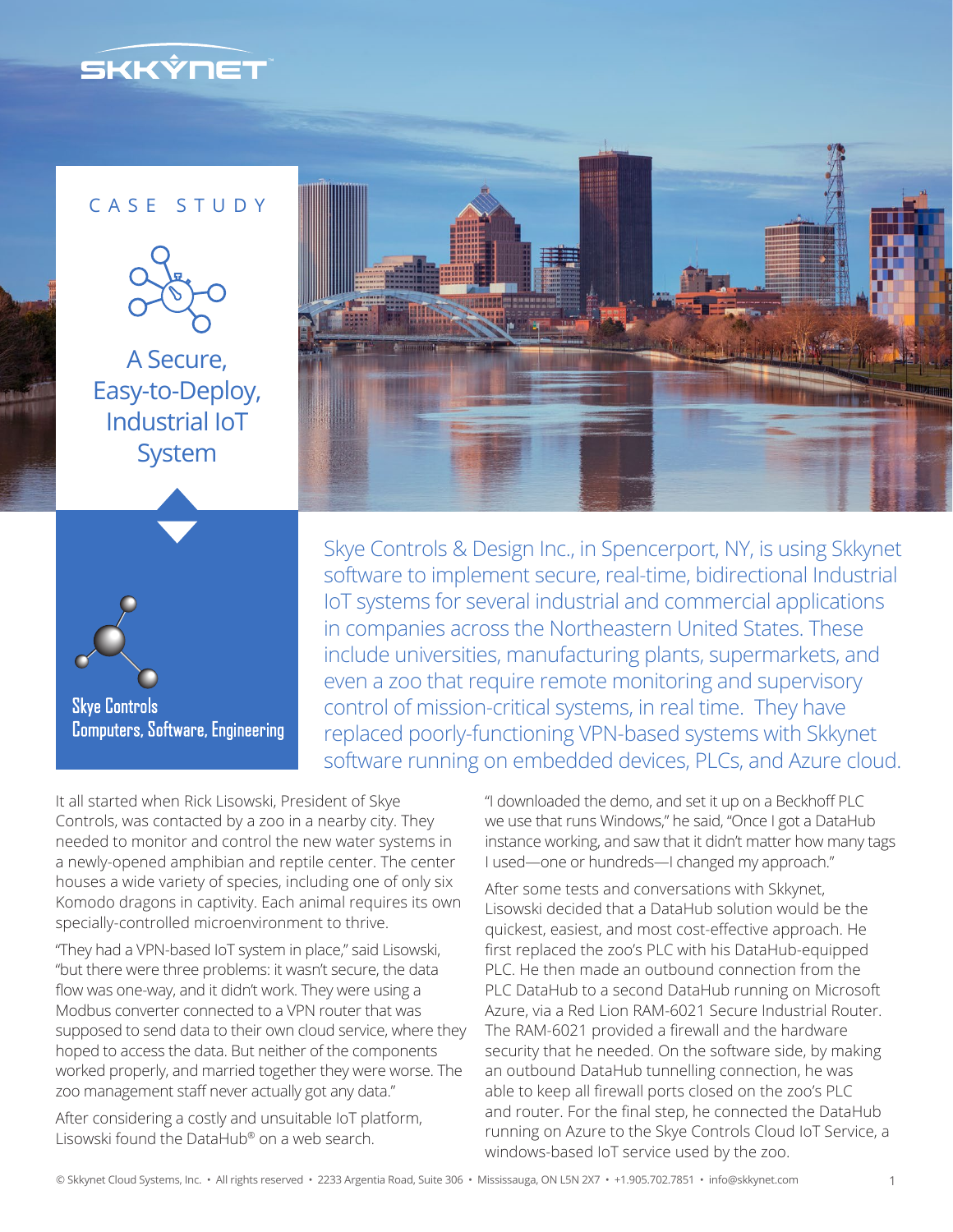

## CASE STUDY



A Secure, Easy-to-Deploy, Industrial IoT System



**Computers, Software, Engineering** 

Skye Controls & Design Inc., in Spencerport, NY, is using Skkynet software to implement secure, real-time, bidirectional Industrial IoT systems for several industrial and commercial applications in companies across the Northeastern United States. These include universities, manufacturing plants, supermarkets, and even a zoo that require remote monitoring and supervisory control of mission-critical systems, in real time. They have replaced poorly-functioning VPN-based systems with Skkynet software running on embedded devices, PLCs, and Azure cloud.

It all started when Rick Lisowski, President of Skye Controls, was contacted by a zoo in a nearby city. They needed to monitor and control the new water systems in a newly-opened amphibian and reptile center. The center houses a wide variety of species, including one of only six Komodo dragons in captivity. Each animal requires its own specially-controlled microenvironment to thrive.

"They had a VPN-based IoT system in place," said Lisowski, "but there were three problems: it wasn't secure, the data flow was one-way, and it didn't work. They were using a Modbus converter connected to a VPN router that was supposed to send data to their own cloud service, where they hoped to access the data. But neither of the components worked properly, and married together they were worse. The zoo management staff never actually got any data."

After considering a costly and unsuitable IoT platform, Lisowski found the DataHub® on a web search.

"I downloaded the demo, and set it up on a Beckhoff PLC we use that runs Windows," he said, "Once I got a DataHub instance working, and saw that it didn't matter how many tags I used―one or hundreds―I changed my approach."

After some tests and conversations with Skkynet, Lisowski decided that a DataHub solution would be the quickest, easiest, and most cost-effective approach. He first replaced the zoo's PLC with his DataHub-equipped PLC. He then made an outbound connection from the PLC DataHub to a second DataHub running on Microsoft Azure, via a Red Lion RAM-6021 Secure Industrial Router. The RAM-6021 provided a firewall and the hardware security that he needed. On the software side, by making an outbound DataHub tunnelling connection, he was able to keep all firewall ports closed on the zoo's PLC and router. For the final step, he connected the DataHub running on Azure to the Skye Controls Cloud IoT Service, a windows-based IoT service used by the zoo.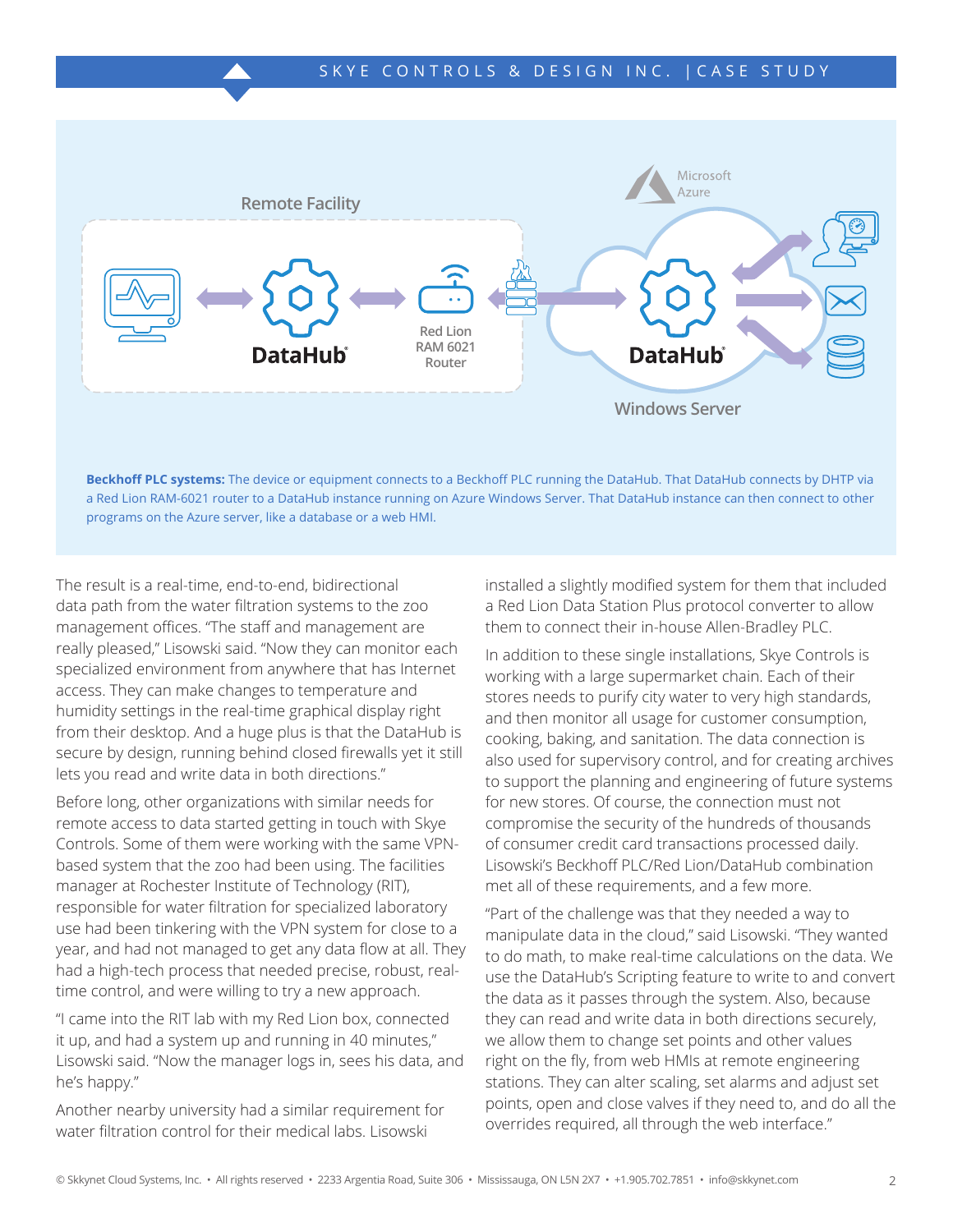

**Beckhoff PLC systems:** The device or equipment connects to a Beckhoff PLC running the DataHub. That DataHub connects by DHTP via a Red Lion RAM-6021 router to a DataHub instance running on Azure Windows Server. That DataHub instance can then connect to other programs on the Azure server, like a database or a web HMI.

The result is a real-time, end-to-end, bidirectional data path from the water filtration systems to the zoo management offices. "The staff and management are really pleased," Lisowski said. "Now they can monitor each specialized environment from anywhere that has Internet access. They can make changes to temperature and humidity settings in the real-time graphical display right from their desktop. And a huge plus is that the DataHub is secure by design, running behind closed firewalls yet it still lets you read and write data in both directions."

Before long, other organizations with similar needs for remote access to data started getting in touch with Skye Controls. Some of them were working with the same VPNbased system that the zoo had been using. The facilities manager at Rochester Institute of Technology (RIT), responsible for water filtration for specialized laboratory use had been tinkering with the VPN system for close to a year, and had not managed to get any data flow at all. They had a high-tech process that needed precise, robust, realtime control, and were willing to try a new approach.

"I came into the RIT lab with my Red Lion box, connected it up, and had a system up and running in 40 minutes," Lisowski said. "Now the manager logs in, sees his data, and he's happy."

Another nearby university had a similar requirement for water filtration control for their medical labs. Lisowski

installed a slightly modified system for them that included a Red Lion Data Station Plus protocol converter to allow them to connect their in-house Allen-Bradley PLC.

In addition to these single installations, Skye Controls is working with a large supermarket chain. Each of their stores needs to purify city water to very high standards, and then monitor all usage for customer consumption, cooking, baking, and sanitation. The data connection is also used for supervisory control, and for creating archives to support the planning and engineering of future systems for new stores. Of course, the connection must not compromise the security of the hundreds of thousands of consumer credit card transactions processed daily. Lisowski's Beckhoff PLC/Red Lion/DataHub combination met all of these requirements, and a few more.

"Part of the challenge was that they needed a way to manipulate data in the cloud," said Lisowski. "They wanted to do math, to make real-time calculations on the data. We use the DataHub's Scripting feature to write to and convert the data as it passes through the system. Also, because they can read and write data in both directions securely, we allow them to change set points and other values right on the fly, from web HMIs at remote engineering stations. They can alter scaling, set alarms and adjust set points, open and close valves if they need to, and do all the overrides required, all through the web interface."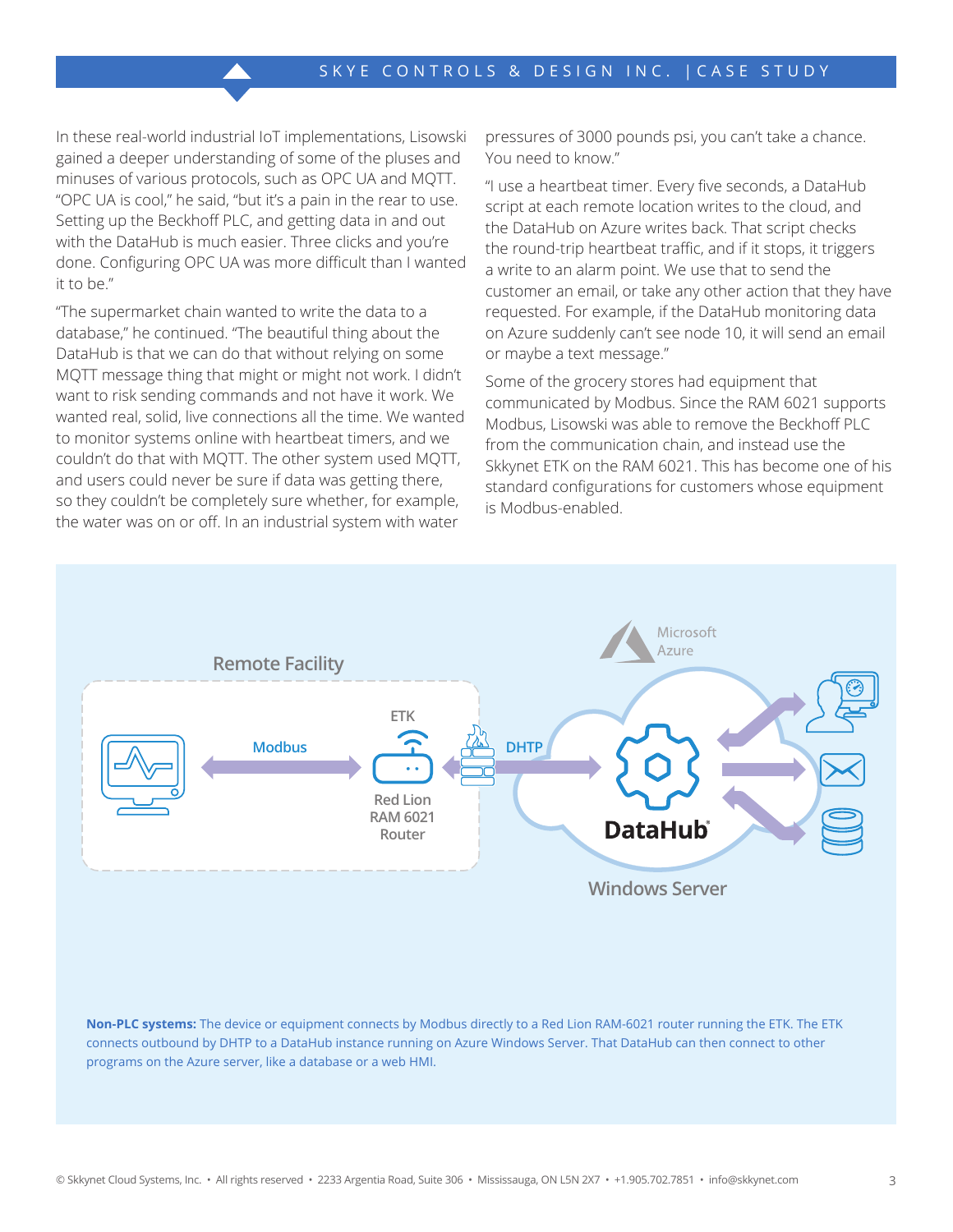In these real-world industrial IoT implementations, Lisowski gained a deeper understanding of some of the pluses and minuses of various protocols, such as OPC UA and MQTT. "OPC UA is cool," he said, "but it's a pain in the rear to use. Setting up the Beckhoff PLC, and getting data in and out with the DataHub is much easier. Three clicks and you're done. Configuring OPC UA was more difficult than I wanted it to be."

"The supermarket chain wanted to write the data to a database," he continued. "The beautiful thing about the DataHub is that we can do that without relying on some MQTT message thing that might or might not work. I didn't want to risk sending commands and not have it work. We wanted real, solid, live connections all the time. We wanted to monitor systems online with heartbeat timers, and we couldn't do that with MQTT. The other system used MQTT, and users could never be sure if data was getting there, so they couldn't be completely sure whether, for example, the water was on or off. In an industrial system with water

pressures of 3000 pounds psi, you can't take a chance. You need to know."

"I use a heartbeat timer. Every five seconds, a DataHub script at each remote location writes to the cloud, and the DataHub on Azure writes back. That script checks the round-trip heartbeat traffic, and if it stops, it triggers a write to an alarm point. We use that to send the customer an email, or take any other action that they have requested. For example, if the DataHub monitoring data on Azure suddenly can't see node 10, it will send an email or maybe a text message."

Some of the grocery stores had equipment that communicated by Modbus. Since the RAM 6021 supports Modbus, Lisowski was able to remove the Beckhoff PLC from the communication chain, and instead use the Skkynet ETK on the RAM 6021. This has become one of his standard configurations for customers whose equipment is Modbus-enabled.



**Non-PLC systems:** The device or equipment connects by Modbus directly to a Red Lion RAM-6021 router running the ETK. The ETK connects outbound by DHTP to a DataHub instance running on Azure Windows Server. That DataHub can then connect to other programs on the Azure server, like a database or a web HMI.